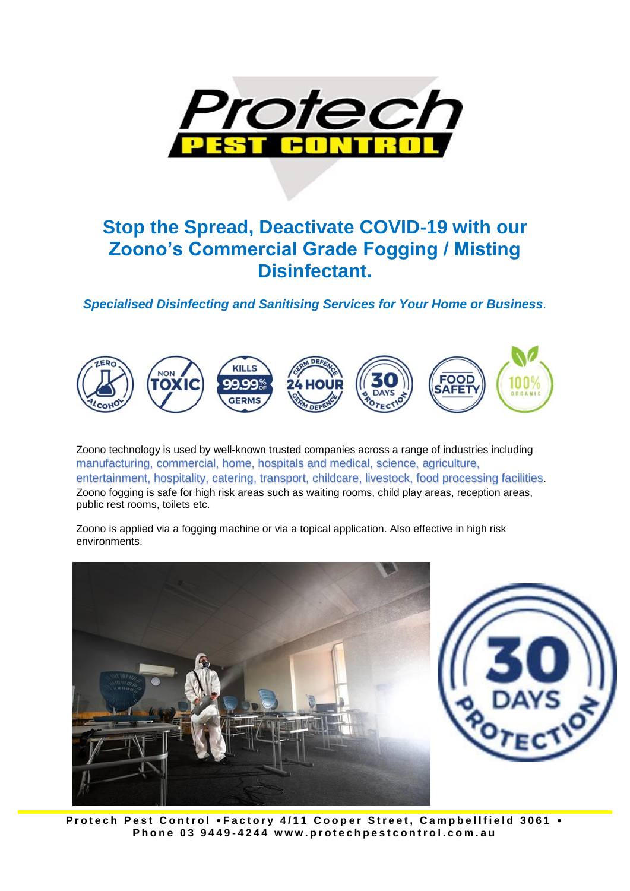

#### **Stop the Spread, Deactivate COVID-19 with our Zoono's Commercial Grade Fogging / Misting Disinfectant.**

*Specialised Disinfecting and Sanitising Services for Your Home or Business.*



Zoono technology is used by well-known trusted companies across a range of industries including manufacturing, commercial, home, hospitals and medical, science, agriculture, entertainment, hospitality, catering, transport, childcare, livestock, food processing facilities. Zoono fogging is safe for high risk areas such as waiting rooms, child play areas, reception areas, public rest rooms, toilets etc.

Zoono is applied via a fogging machine or via a topical application. Also effective in high risk environments.





Protech Pest Control .Factory 4/11 Cooper Street, Campbellfield 3061 . **P h o n e 0 3 9 4 4 9 - 4 2 4 4 w w w . p r o t e c h p e s t c o n t r o l . c o m . a u**